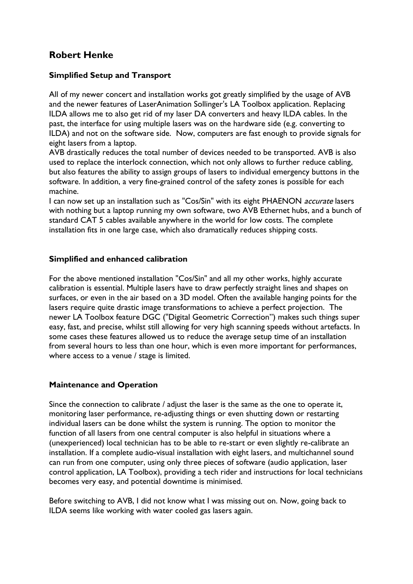## **Robert Henke**

### **Simplified Setup and Transport**

All of my newer concert and installation works got greatly simplified by the usage of AVB and the newer features of LaserAnimation Sollinger's LA Toolbox application. Replacing ILDA allows me to also get rid of my laser DA converters and heavy ILDA cables. In the past, the interface for using multiple lasers was on the hardware side (e.g. converting to ILDA) and not on the software side. Now, computers are fast enough to provide signals for eight lasers from a laptop.

AVB drastically reduces the total number of devices needed to be transported. AVB is also used to replace the interlock connection, which not only allows to further reduce cabling, but also features the ability to assign groups of lasers to individual emergency buttons in the software. In addition, a very fine-grained control of the safety zones is possible for each machine.

I can now set up an installation such as "Cos/Sin" with its eight PHAENON *accurate* lasers with nothing but a laptop running my own software, two AVB Ethernet hubs, and a bunch of standard CAT 5 cables available anywhere in the world for low costs. The complete installation fits in one large case, which also dramatically reduces shipping costs.

#### **Simplified and enhanced calibration**

For the above mentioned installation "Cos/Sin" and all my other works, highly accurate calibration is essential. Multiple lasers have to draw perfectly straight lines and shapes on surfaces, or even in the air based on a 3D model. Often the available hanging points for the lasers require quite drastic image transformations to achieve a perfect projection. The newer LA Toolbox feature DGC ("Digital Geometric Correction") makes such things super easy, fast, and precise, whilst still allowing for very high scanning speeds without artefacts. In some cases these features allowed us to reduce the average setup time of an installation from several hours to less than one hour, which is even more important for performances, where access to a venue / stage is limited.

#### **Maintenance and Operation**

Since the connection to calibrate / adjust the laser is the same as the one to operate it, monitoring laser performance, re-adjusting things or even shutting down or restarting individual lasers can be done whilst the system is running. The option to monitor the function of all lasers from one central computer is also helpful in situations where a (unexperienced) local technician has to be able to re-start or even slightly re-calibrate an installation. If a complete audio-visual installation with eight lasers, and multichannel sound can run from one computer, using only three pieces of software (audio application, laser control application, LA Toolbox), providing a tech rider and instructions for local technicians becomes very easy, and potential downtime is minimised.

Before switching to AVB, I did not know what I was missing out on. Now, going back to ILDA seems like working with water cooled gas lasers again.